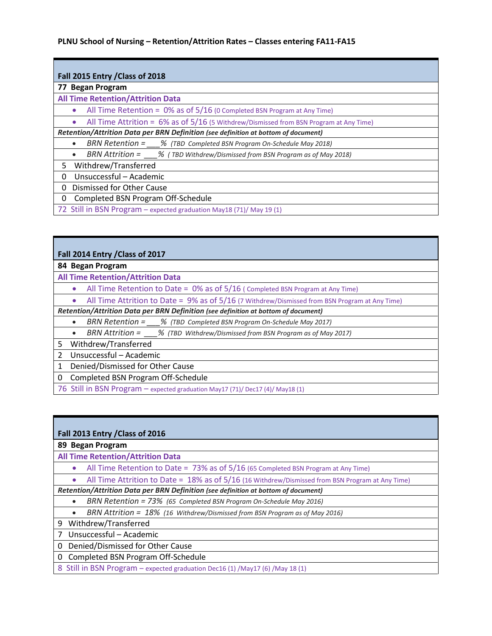г

F

| Fall 2015 Entry / Class of 2018                                                                          |
|----------------------------------------------------------------------------------------------------------|
| 77 Began Program                                                                                         |
| <b>All Time Retention/Attrition Data</b>                                                                 |
| All Time Retention = $0\%$ as of 5/16 (0 Completed BSN Program at Any Time)                              |
| All Time Attrition = $6\%$ as of $5/16$ (5 Withdrew/Dismissed from BSN Program at Any Time)<br>$\bullet$ |
| Retention/Attrition Data per BRN Definition (see definition at bottom of document)                       |
| BRN Retention = % (TBD Completed BSN Program On-Schedule May 2018)<br>$\bullet$                          |
| BRN Attrition = $\frac{9}{2018}$ (TBD Withdrew/Dismissed from BSN Program as of May 2018)<br>$\bullet$   |
| Withdrew/Transferred<br>5.                                                                               |
| Unsuccessful – Academic<br>0                                                                             |
| Dismissed for Other Cause<br>0                                                                           |
| Completed BSN Program Off-Schedule<br>0                                                                  |
| 72 Still in BSN Program - expected graduation May18 (71)/ May 19 (1)                                     |

| Fall 2014 Entry / Class of 2017                                                                                  |
|------------------------------------------------------------------------------------------------------------------|
| 84 Began Program                                                                                                 |
| <b>All Time Retention/Attrition Data</b>                                                                         |
| All Time Retention to Date = $0\%$ as of $5/16$ (Completed BSN Program at Any Time)<br>$\bullet$                 |
| All Time Attrition to Date = $9\%$ as of $5/16$ (7 Withdrew/Dismissed from BSN Program at Any Time)<br>$\bullet$ |
| Retention/Attrition Data per BRN Definition (see definition at bottom of document)                               |
| BRN Retention = % (TBD Completed BSN Program On-Schedule May 2017)<br>$\bullet$                                  |
| BRN Attrition = $\%$ (TBD Withdrew/Dismissed from BSN Program as of May 2017)<br>$\bullet$                       |
| 5<br>Withdrew/Transferred                                                                                        |
| Unsuccessful - Academic<br>2                                                                                     |
| Denied/Dismissed for Other Cause<br>1                                                                            |
| Completed BSN Program Off-Schedule<br>0                                                                          |
| 76 Still in BSN Program – expected graduation May17 (71)/ Dec17 (4)/ May18 (1)                                   |

| Fall 2013 Entry / Class of 2016                                                                                    |
|--------------------------------------------------------------------------------------------------------------------|
| 89 Began Program                                                                                                   |
| <b>All Time Retention/Attrition Data</b>                                                                           |
| All Time Retention to Date = $73\%$ as of $5/16$ (65 Completed BSN Program at Any Time)                            |
| All Time Attrition to Date = $18\%$ as of $5/16$ (16 Withdrew/Dismissed from BSN Program at Any Time)<br>$\bullet$ |
| Retention/Attrition Data per BRN Definition (see definition at bottom of document)                                 |
| BRN Retention = 73% (65 Completed BSN Program On-Schedule May 2016)<br>$\bullet$                                   |
| BRN Attrition = $18\%$ (16 Withdrew/Dismissed from BSN Program as of May 2016)<br>$\bullet$                        |
| 9<br>Withdrew/Transferred                                                                                          |
| Unsuccessful – Academic                                                                                            |
| Denied/Dismissed for Other Cause<br>0                                                                              |
| Completed BSN Program Off-Schedule<br>$\Omega$                                                                     |
| 8 Still in BSN Program - expected graduation Dec16 (1) /May17 (6) /May 18 (1)                                      |